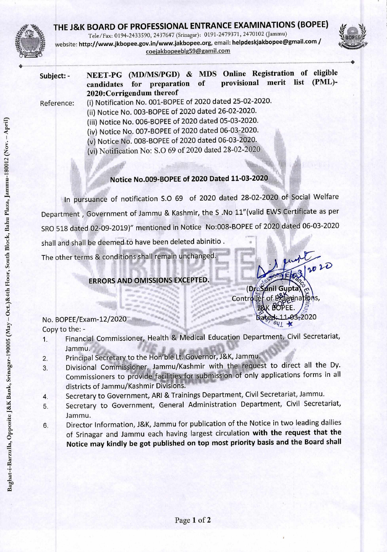

## **THE J&K BOARD OF PROFESSIONAL ENTRANCE EXAMINATIONS (BOPEE)**  Tele/Fax: 0194-2433590, 2437647 (Srinagar): 0191-2479371, 2470102 (Jammu) website: http://www.jkbopee.gov.in/www.jakbopee.org, email: helpdeskjakbopee@gmail.com / coejakbopeebIg59@gamil.com



Subject: - NEET-PG (MD/MS/PGD) & MDS Online Registration of eligible<br>candidates for preparation of provisional merit list (PML)candidates for preparation of 2020:Corrigendum thereof

Reference: (i) Notification No. 001-BOPEE of 2020 dated 25-02-2020. (ii) Notice No. 003-BOPEE of 2020 dated 26-02-2020. (iii) Notice No. 006-BOPEE of 2020 dated 05-03-2020. (iv) Notice No. 007-BOPEE of 2020 dated 06-03-2020. (v) Notice No. 008-BOPEE of 2020 dated 06-03-2020. (vi) Notification No: S.0 69 of 2020 dated 28-02-2020

## **Notice No.009-BOPEE of 2020 Dated 11-03-2020**

In pursuance of notification 5.0 69 of 2020 dated 28-02-2020 of Social Welfare Department , Government of Jammu & Kashmir, the S .No 11"(valid EWS Certificate as per SRO 518 dated 02-09-2019)" mentioned in Notice No:008-BOPEE of 2020 dated 06-03-2020 shall and shall be deemed to have been deleted abinitio .

The other terms & conditions shall remain unchanged.

## **ERRORS AND OMISSIONS EXCEPTED.**

 $n_c$  $2020$ (Dr**eŠ⁄unil Gupta**) Controller of Branch EE.  $-41$ 

No. BOPEE/Exam-12/2020 **at 2020 Dated: 11-03-2020** Copy to the: -

- Financial Commissioner, Health & Medical Education Department, Civil Secretariat, Jammu.
- 2. Principal Secretary to the Hon'ble Lt. Governor, J&K, Jammu.
- $r = \frac{3}{2}$ Divisional Commissioner, Jammu/Kashmir with the request to direct all the Dy. Commissioners to provide facilities for submission of only applications forms in all ; districts of Jammu/Kashmir Divisions.
- $\frac{1}{2}$  4. Secretary to Government, ARI & Trainings Department, Civil Secretariat, Jammu.
	- 5. Secretary to Government, General Administration Department, Civil Secretariat, Jammu.
	- 6. Director Information, J&K, Jammu for publication of the Notice in two leading dailies of Srinagar and Jammu each having largest circulation **with the request that the Notice may kindly be got published on top most priority basis and the Board shall**